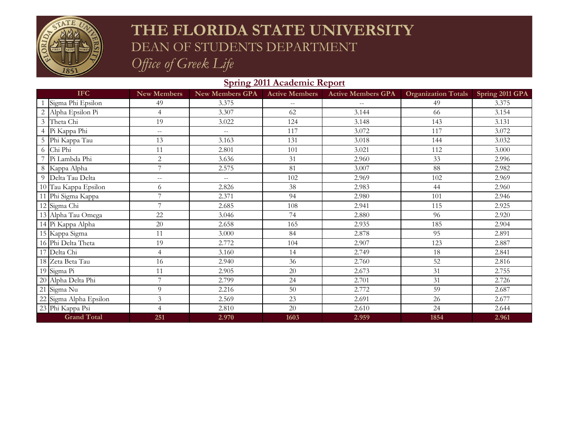

# **THE FLORIDA STATE UNIVERSITY** DEAN OF STUDENTS DEPARTMENT *Office of Greek Life*

### **Spring 2011 Academic Report**

| <b>IFC</b>             | <b>New Members</b> | <b>New Members GPA</b>                        | <b>Active Members</b> | <b>Active Members GPA</b> | <b>Organization Totals</b> | Spring 2011 GPA |
|------------------------|--------------------|-----------------------------------------------|-----------------------|---------------------------|----------------------------|-----------------|
| Sigma Phi Epsilon      | 49                 | 3.375                                         | $\sim$ $\sim$         |                           | 49                         | 3.375           |
| 2 Alpha Epsilon Pi     | $\overline{4}$     | 3.307                                         | 62                    | 3.144                     | 66                         | 3.154           |
| 3 Theta Chi            | 19                 | 3.022                                         | 124                   | 3.148                     | 143                        | 3.131           |
| 4 Pi Kappa Phi         | $-$                | $\mathord{\hspace{1pt}\text{--}\hspace{1pt}}$ | 117                   | 3.072                     | 117                        | 3.072           |
| 5 Phi Kappa Tau        | 13                 | 3.163                                         | 131                   | 3.018                     | 144                        | 3.032           |
| 6 Chi Phi              | 11                 | 2.801                                         | 101                   | 3.021                     | 112                        | 3.000           |
| Pi Lambda Phi          | $\mathbf{2}$       | 3.636                                         | 31                    | 2.960                     | 33                         | 2.996           |
| 8 Kappa Alpha          | 7                  | 2.575                                         | 81                    | 3.007                     | 88                         | 2.982           |
| 9 Delta Tau Delta      | $-$                | $\overline{\phantom{m}}$                      | 102                   | 2.969                     | 102                        | 2.969           |
| 10 Tau Kappa Epsilon   | 6                  | 2.826                                         | 38                    | 2.983                     | 44                         | 2.960           |
| 11 Phi Sigma Kappa     | 7                  | 2.371                                         | 94                    | 2.980                     | 101                        | 2.946           |
| 12 Sigma Chi           | 7                  | 2.685                                         | 108                   | 2.941                     | 115                        | 2.925           |
| 13 Alpha Tau Omega     | 22                 | 3.046                                         | 74                    | 2.880                     | 96                         | 2.920           |
| 14 Pi Kappa Alpha      | 20                 | 2.658                                         | 165                   | 2.935                     | 185                        | 2.904           |
| 15 Kappa Sigma         | 11                 | 3.000                                         | 84                    | 2.878                     | 95                         | 2.891           |
| 16 Phi Delta Theta     | 19                 | 2.772                                         | 104                   | 2.907                     | 123                        | 2.887           |
| 17 Delta Chi           | $\overline{4}$     | 3.160                                         | 14                    | 2.749                     | 18                         | 2.841           |
| 18 Zeta Beta Tau       | 16                 | 2.940                                         | 36                    | 2.760                     | 52                         | 2.816           |
| 19 Sigma Pi            | 11                 | 2.905                                         | 20                    | 2.673                     | 31                         | 2.755           |
| 20 Alpha Delta Phi     | 7                  | 2.799                                         | 24                    | 2.701                     | 31                         | 2.726           |
| 21 Sigma Nu            | 9                  | 2.216                                         | 50                    | 2.772                     | 59                         | 2.687           |
| 22 Sigma Alpha Epsilon | 3                  | 2.569                                         | 23                    | 2.691                     | 26                         | 2.677           |
| 23 Phi Kappa Psi       | $\overline{4}$     | 2.810                                         | 20                    | 2.610                     | 24                         | 2.644           |
| <b>Grand Total</b>     | 251                | 2.970                                         | 1603                  | 2.959                     | 1854                       | 2.961           |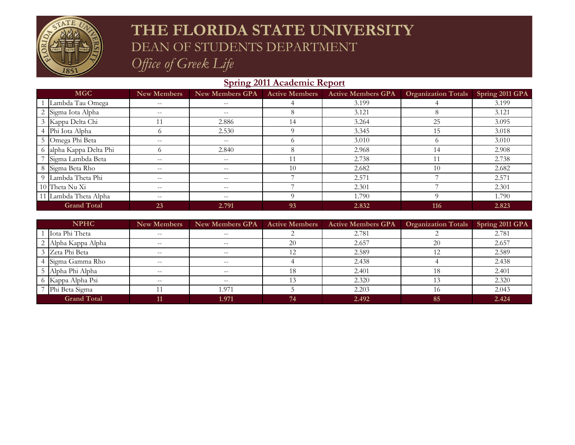

# **THE FLORIDA STATE UNIVERSITY** DEAN OF STUDENTS DEPARTMENT *Office of Greek Life*

### **Spring 2011 Academic Report**

| <b>MGC</b>         |                         | <b>New Members</b>       | <b>New Members GPA</b>   | <b>Active Members</b> | <b>Active Members GPA</b> | <b>Organization Totals</b> | Spring 2011 GPA |
|--------------------|-------------------------|--------------------------|--------------------------|-----------------------|---------------------------|----------------------------|-----------------|
|                    | Lambda Tau Omega        | $\frac{1}{2}$            | $\overline{\phantom{m}}$ |                       | 3.199                     |                            | 3.199           |
|                    | 2 Sigma Iota Alpha      | $\overline{\phantom{m}}$ | $\overline{\phantom{m}}$ |                       | 3.121                     |                            | 3.121           |
|                    | 3 Kappa Delta Chi       | 11                       | 2.886                    | 14                    | 3.264                     | 25                         | 3.095           |
|                    | 4 Phi Iota Alpha        | $\Omega$                 | 2.530                    |                       | 3.345                     | 15                         | 3.018           |
|                    | 5 Omega Phi Beta        | $\qquad \qquad -$        | $- -$                    |                       | 3.010                     | $\Omega$                   | 3.010           |
|                    | 6 alpha Kappa Delta Phi | $\Omega$                 | 2.840                    |                       | 2.968                     | 14                         | 2.908           |
|                    | Sigma Lambda Beta       | $- -$                    | $\qquad \qquad -$        |                       | 2.738                     |                            | 2.738           |
|                    | 8 Sigma Beta Rho        | $\overline{\phantom{m}}$ | $\qquad \qquad -$        | 10                    | 2.682                     | 10                         | 2.682           |
|                    | 9 Lambda Theta Phi      | $\qquad \qquad -$        | $\qquad \qquad -$        |                       | 2.571                     |                            | 2.571           |
|                    | 10 Theta Nu Xi          | $\frac{1}{2}$            | $\qquad \qquad -$        |                       | 2.301                     |                            | 2.301           |
|                    | 11 Lambda Theta Alpha   | $\frac{1}{2}$            | $\qquad \qquad -$        | $\Omega$              | 1.790                     |                            | 1.790           |
| <b>Grand Total</b> |                         | 23                       | 2.791                    | 93                    | 2.832                     | 116                        | 2.823           |

| <b>NPHC</b>        |                     | New Members                                           | <b>New Members GPA</b> | <b>Active Members</b> | <b>Active Members GPA</b> | <b>Organization Totals</b> | Spring 2011 GPA |
|--------------------|---------------------|-------------------------------------------------------|------------------------|-----------------------|---------------------------|----------------------------|-----------------|
|                    | Iota Phi Theta      | $\hspace{0.05cm} - \hspace{0.05cm} - \hspace{0.05cm}$ | $-\!$ $\!-$            |                       | 2.781                     |                            | 2.781           |
|                    | 2 Alpha Kappa Alpha | $\overline{\phantom{m}}$                              |                        | 20                    | 2.657                     | 20                         | 2.657           |
|                    | 3 Zeta Phi Beta     | $\overline{\phantom{m}}$                              | $- -$                  | 12                    | 2.589                     | 12                         | 2.589           |
|                    | 4 Sigma Gamma Rho   | $\overline{\phantom{m}}$                              | $- -$                  |                       | 2.438                     |                            | 2.438           |
|                    | 5 Alpha Phi Alpha   | $\hspace{0.05cm} -$                                   | $\hspace{0.05cm} -$    | 18                    | 2.401                     | 18                         | 2.401           |
|                    | 6 Kappa Alpha Psi   | $\sim$ $\sim$                                         | $\sim$ $\sim$          |                       | 2.320                     |                            | 2.320           |
|                    | Phi Beta Sigma      | 11                                                    | l.971                  |                       | 2.203                     | 16                         | 2.043           |
| <b>Grand Total</b> |                     | 11                                                    | 1.971                  | 74                    | 2.492                     | 85                         | 2.424           |